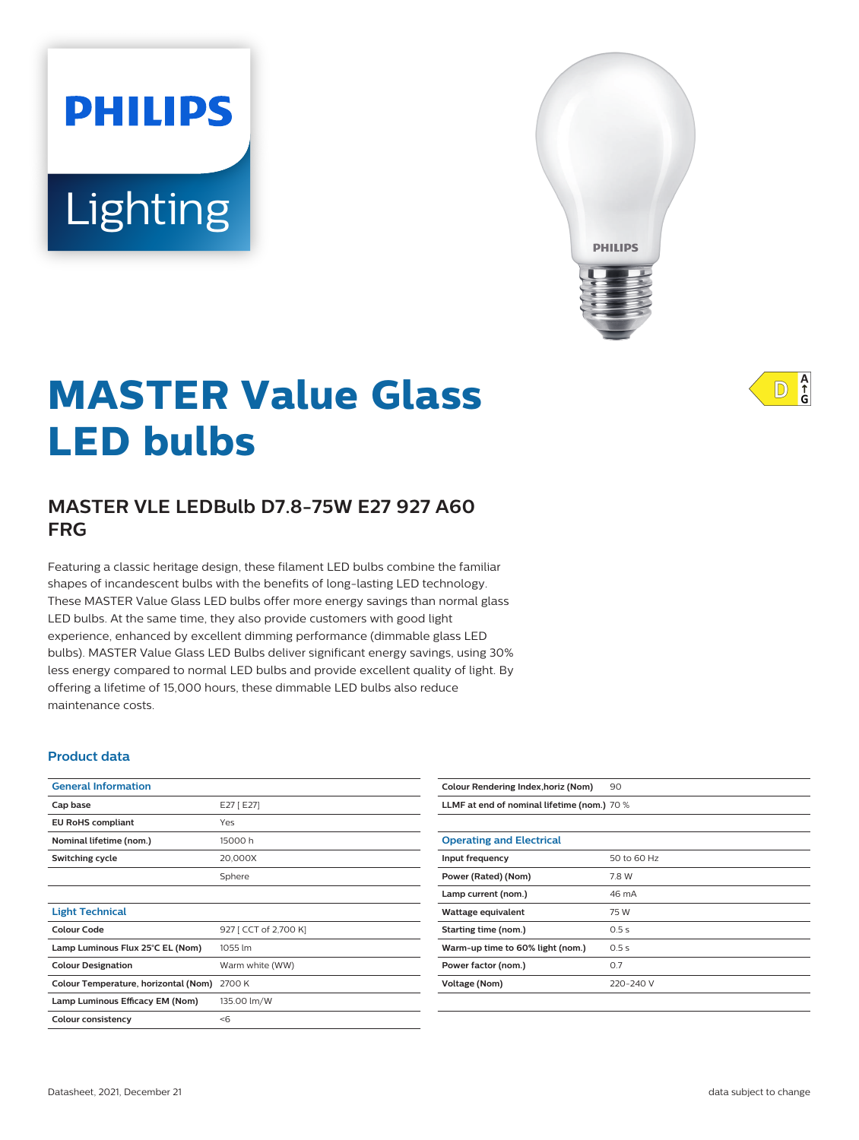# Lighting

**PHILIPS** 



# **MASTER Value Glass LED bulbs**

# **MASTER VLE LEDBulb D7.8-75W E27 927 A60 FRG**

Featuring a classic heritage design, these filament LED bulbs combine the familiar shapes of incandescent bulbs with the benefits of long-lasting LED technology. These MASTER Value Glass LED bulbs offer more energy savings than normal glass LED bulbs. At the same time, they also provide customers with good light experience, enhanced by excellent dimming performance (dimmable glass LED bulbs). MASTER Value Glass LED Bulbs deliver significant energy savings, using 30% less energy compared to normal LED bulbs and provide excellent quality of light. By offering a lifetime of 15,000 hours, these dimmable LED bulbs also reduce maintenance costs.

#### **Product data**

| <b>General Information</b>           |                       |
|--------------------------------------|-----------------------|
| Cap base                             | E27 [ E27]            |
| <b>EU RoHS compliant</b>             | Yes                   |
| Nominal lifetime (nom.)              | 15000 h               |
| Switching cycle                      | 20,000X               |
|                                      | Sphere                |
|                                      |                       |
| <b>Light Technical</b>               |                       |
| Colour Code                          | 927 [ CCT of 2,700 K] |
| Lamp Luminous Flux 25°C EL (Nom)     | 1055 lm               |
| <b>Colour Designation</b>            | Warm white (WW)       |
| Colour Temperature, horizontal (Nom) | 2700 K                |
| Lamp Luminous Efficacy EM (Nom)      | 135.00 lm/W           |
| Colour consistency                   | $<$ 6                 |

| Colour Rendering Index, horiz (Nom)         | 90          |
|---------------------------------------------|-------------|
| LLMF at end of nominal lifetime (nom.) 70 % |             |
|                                             |             |
| <b>Operating and Electrical</b>             |             |
| Input frequency                             | 50 to 60 Hz |
| Power (Rated) (Nom)                         | 7.8 W       |
| Lamp current (nom.)                         | 46 mA       |
| Wattage equivalent                          | 75 W        |
| Starting time (nom.)                        | 0.5s        |
| Warm-up time to 60% light (nom.)            | 0.5s        |
| Power factor (nom.)                         | 0.7         |
| <b>Voltage (Nom)</b>                        | 220-240 V   |
|                                             |             |

 $A$ <sub>G</sub>  $\mathbb{D}$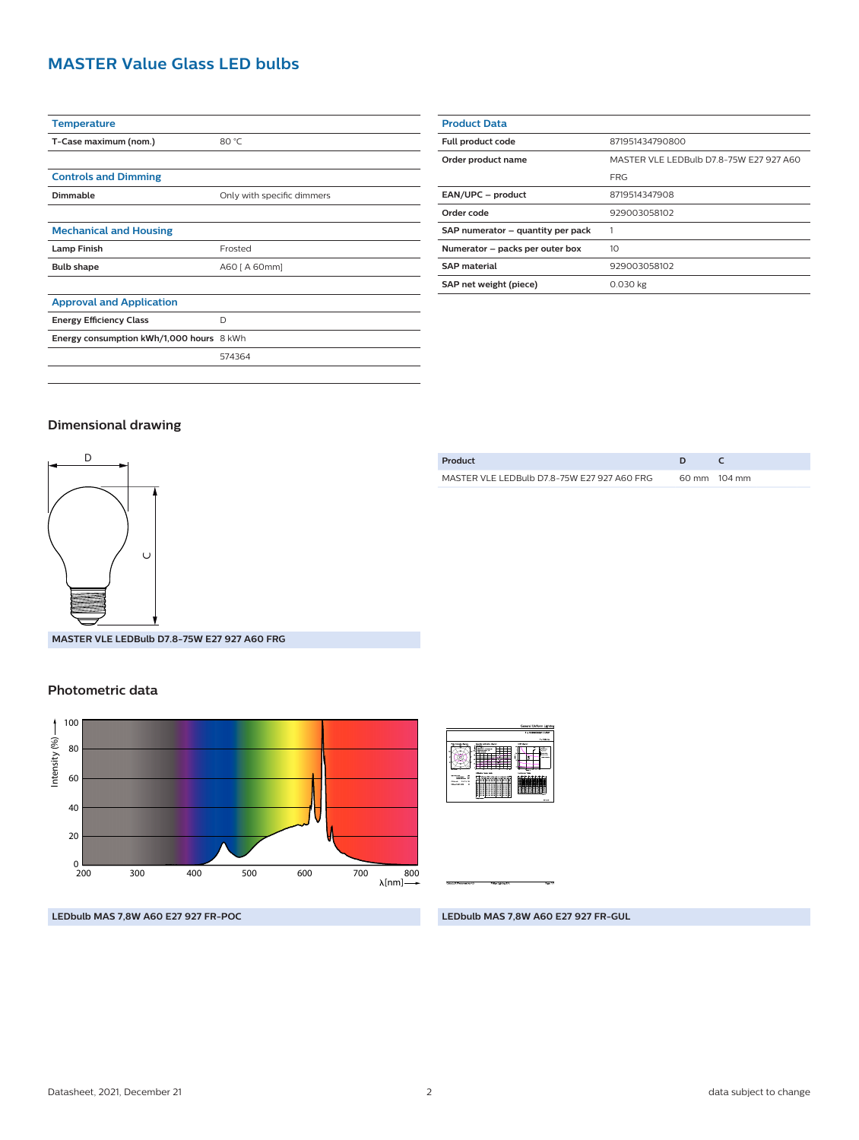## **MASTER Value Glass LED bulbs**

| <b>Temperature</b>                       |                            |
|------------------------------------------|----------------------------|
| T-Case maximum (nom.)                    | 80 °C                      |
|                                          |                            |
| <b>Controls and Dimming</b>              |                            |
| Dimmable                                 | Only with specific dimmers |
|                                          |                            |
| <b>Mechanical and Housing</b>            |                            |
| <b>Lamp Finish</b>                       | Frosted                    |
| <b>Bulb shape</b>                        | A60 [ A 60mm]              |
|                                          |                            |
| <b>Approval and Application</b>          |                            |
| <b>Energy Efficiency Class</b>           | D                          |
| Energy consumption kWh/1,000 hours 8 kWh |                            |
|                                          | 574364                     |
|                                          |                            |

| <b>Product Data</b>               |                                         |  |
|-----------------------------------|-----------------------------------------|--|
| Full product code                 | 871951434790800                         |  |
| Order product name                | MASTER VLE LEDBulb D7.8-75W E27 927 A60 |  |
|                                   | <b>FRG</b>                              |  |
| EAN/UPC - product                 | 8719514347908                           |  |
| Order code                        | 929003058102                            |  |
| SAP numerator - quantity per pack |                                         |  |
| Numerator - packs per outer box   | 10                                      |  |
| <b>SAP material</b>               | 929003058102                            |  |
| SAP net weight (piece)            | $0.030$ kg                              |  |
|                                   |                                         |  |

**Product D C** MASTER VLE LEDBulb D7.8-75W E27 927 A60 FRG 60 mm 104 mm

#### **Dimensional drawing**



**MASTER VLE LEDBulb D7.8-75W E27 927 A60 FRG**

#### **Photometric data**



|                                                                                                                    |                                                                                                                                                                                          | General Uniform Linksher |  |
|--------------------------------------------------------------------------------------------------------------------|------------------------------------------------------------------------------------------------------------------------------------------------------------------------------------------|--------------------------|--|
|                                                                                                                    |                                                                                                                                                                                          | 1 x 1210000681 T.EW      |  |
|                                                                                                                    |                                                                                                                                                                                          | A weekly and             |  |
| <b>SALES</b>                                                                                                       | <b>USR day and</b><br><b>Questa ratesten Baron</b><br>m<br><b>CONTRACTOR</b><br>,,,,,,<br>٠.                                                                                             | --<br>≕<br><b>Market</b> |  |
| <b>WE SHAR THE</b><br>п<br>1.11<br>÷<br><b>COLOR</b><br><b>14 Av 14</b><br><b>Mark School</b><br>Abustan Link<br>٠ | <b>LESONA SCALDAR</b><br><b>MAY THE</b><br>Motorchild of a shadow for the<br>. .<br>œ<br>zп<br><br>÷<br>Ξ<br>Ξ<br>s<br>c<br>∷<br>c<br>٠<br>c<br>.,<br>---<br>÷<br>c<br><b>STATISTICS</b> |                          |  |

**LEDbulb MAS 7,8W A60 E27 927 FR-POC**

**LEDbulb MAS 7,8W A60 E27 927 FR-GUL**